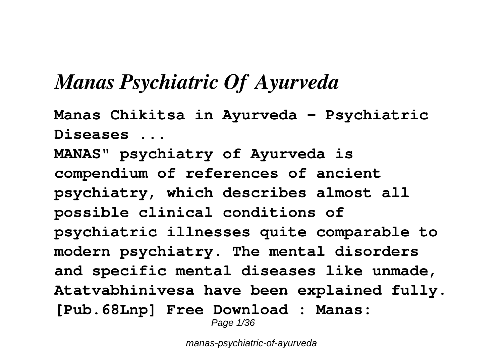# *Manas Psychiatric Of Ayurveda*

**Manas Chikitsa in Ayurveda - Psychiatric Diseases ... MANAS" psychiatry of Ayurveda is compendium of references of ancient psychiatry, which describes almost all possible clinical conditions of psychiatric illnesses quite comparable to modern psychiatry. The mental disorders and specific mental diseases like unmade, Atatvabhinivesa have been explained fully. [Pub.68Lnp] Free Download : Manas:** Page 1/36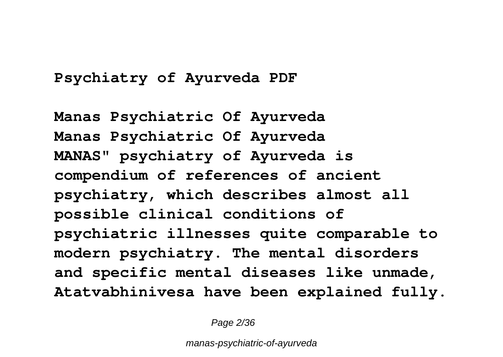### **Psychiatry of Ayurveda PDF**

**Manas Psychiatric Of Ayurveda Manas Psychiatric Of Ayurveda MANAS" psychiatry of Ayurveda is compendium of references of ancient psychiatry, which describes almost all possible clinical conditions of psychiatric illnesses quite comparable to modern psychiatry. The mental disorders and specific mental diseases like unmade, Atatvabhinivesa have been explained fully.**

Page 2/36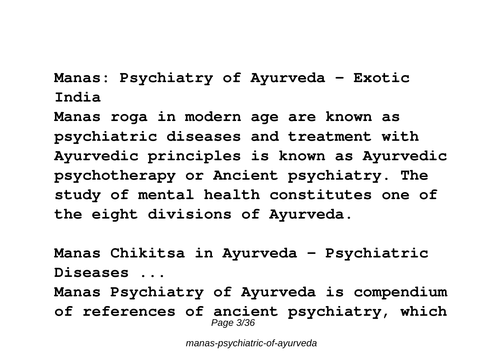**Manas: Psychiatry of Ayurveda - Exotic India**

**Manas roga in modern age are known as psychiatric diseases and treatment with Ayurvedic principles is known as Ayurvedic psychotherapy or Ancient psychiatry. The study of mental health constitutes one of the eight divisions of Ayurveda.**

**Manas Chikitsa in Ayurveda - Psychiatric Diseases ...**

**Manas Psychiatry of Ayurveda is compendium of references of ancient psychiatry, which** Page 3/36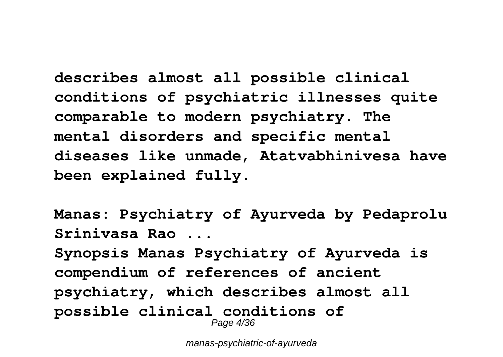**describes almost all possible clinical conditions of psychiatric illnesses quite comparable to modern psychiatry. The mental disorders and specific mental diseases like unmade, Atatvabhinivesa have been explained fully.**

**Manas: Psychiatry of Ayurveda by Pedaprolu Srinivasa Rao ...**

**Synopsis Manas Psychiatry of Ayurveda is compendium of references of ancient psychiatry, which describes almost all possible clinical conditions of** Page 4/36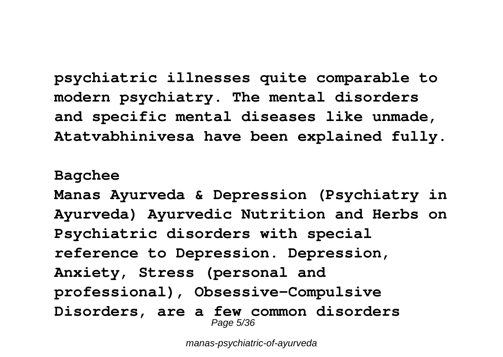**psychiatric illnesses quite comparable to modern psychiatry. The mental disorders and specific mental diseases like unmade, Atatvabhinivesa have been explained fully.**

### **Bagchee**

**Manas Ayurveda & Depression (Psychiatry in Ayurveda) Ayurvedic Nutrition and Herbs on Psychiatric disorders with special reference to Depression. Depression, Anxiety, Stress (personal and professional), Obsessive-Compulsive Disorders, are a few common disorders** Page 5/36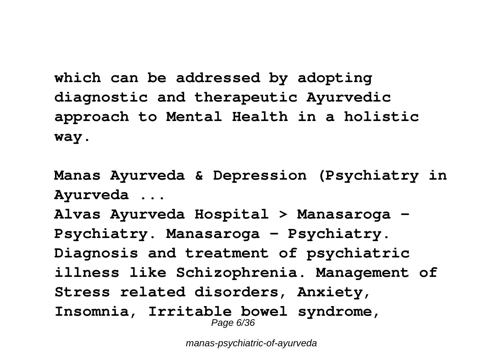**which can be addressed by adopting diagnostic and therapeutic Ayurvedic approach to Mental Health in a holistic way.**

**Manas Ayurveda & Depression (Psychiatry in Ayurveda ...**

**Alvas Ayurveda Hospital > Manasaroga – Psychiatry. Manasaroga – Psychiatry. Diagnosis and treatment of psychiatric illness like Schizophrenia. Management of Stress related disorders, Anxiety, Insomnia, Irritable bowel syndrome,** Page 6/36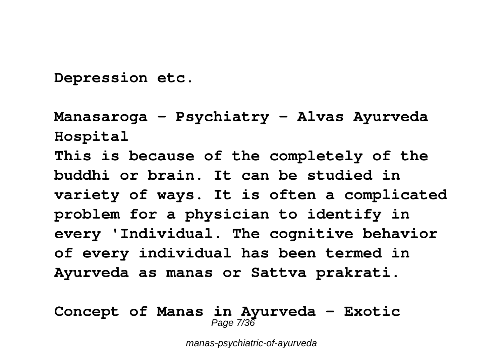**Depression etc.**

**Manasaroga – Psychiatry – Alvas Ayurveda Hospital This is because of the completely of the buddhi or brain. It can be studied in variety of ways. It is often a complicated problem for a physician to identify in every 'Individual. The cognitive behavior of every individual has been termed in Ayurveda as manas or Sattva prakrati.**

#### **Concept of Manas in Ayurveda - Exotic** Page 7/36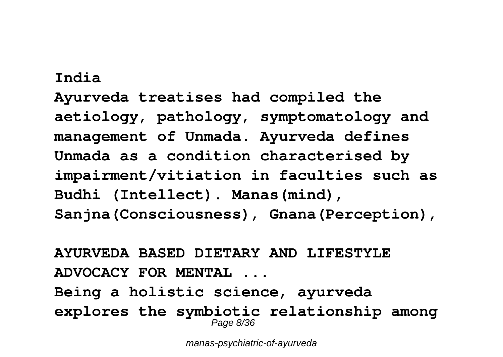#### **India**

**Ayurveda treatises had compiled the aetiology, pathology, symptomatology and management of Unmada. Ayurveda defines Unmada as a condition characterised by impairment/vitiation in faculties such as Budhi (Intellect). Manas(mind), Sanjna(Consciousness), Gnana(Perception),**

**AYURVEDA BASED DIETARY AND LIFESTYLE ADVOCACY FOR MENTAL ... Being a holistic science, ayurveda explores the symbiotic relationship among** Page 8/36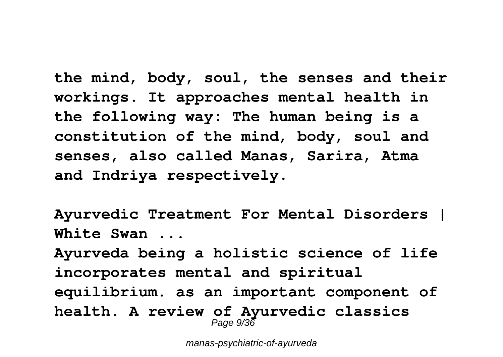**the mind, body, soul, the senses and their workings. It approaches mental health in the following way: The human being is a constitution of the mind, body, soul and senses, also called Manas, Sarira, Atma and Indriya respectively.**

**Ayurvedic Treatment For Mental Disorders | White Swan ...**

**Ayurveda being a holistic science of life incorporates mental and spiritual equilibrium. as an important component of health. A review of Ayurvedic classics** Page  $9/36$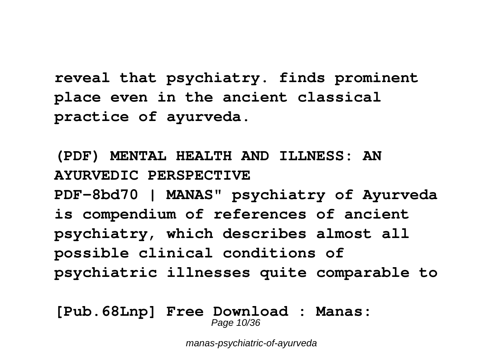**reveal that psychiatry. finds prominent place even in the ancient classical practice of ayurveda.**

**(PDF) MENTAL HEALTH AND ILLNESS: AN AYURVEDIC PERSPECTIVE PDF-8bd70 | MANAS" psychiatry of Ayurveda is compendium of references of ancient psychiatry, which describes almost all possible clinical conditions of psychiatric illnesses quite comparable to**

**[Pub.68Lnp] Free Download : Manas:** Page 10/36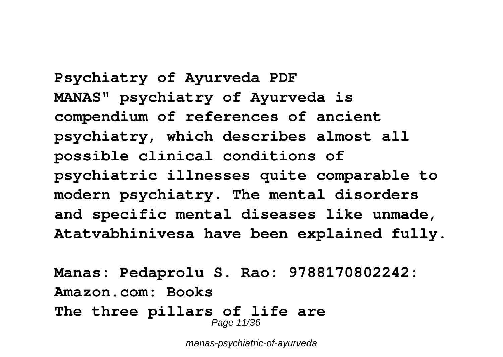**Psychiatry of Ayurveda PDF MANAS" psychiatry of Ayurveda is compendium of references of ancient psychiatry, which describes almost all possible clinical conditions of psychiatric illnesses quite comparable to modern psychiatry. The mental disorders and specific mental diseases like unmade, Atatvabhinivesa have been explained fully.**

**Manas: Pedaprolu S. Rao: 9788170802242: Amazon.com: Books The three pillars of life are** Page 11/36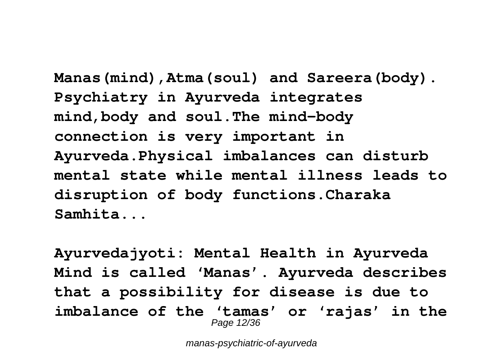**Manas(mind),Atma(soul) and Sareera(body). Psychiatry in Ayurveda integrates mind,body and soul.The mind-body connection is very important in Ayurveda.Physical imbalances can disturb mental state while mental illness leads to disruption of body functions.Charaka Samhita...**

**Ayurvedajyoti: Mental Health in Ayurveda Mind is called 'Manas'. Ayurveda describes that a possibility for disease is due to imbalance of the 'tamas' or 'rajas' in the** Page 12/36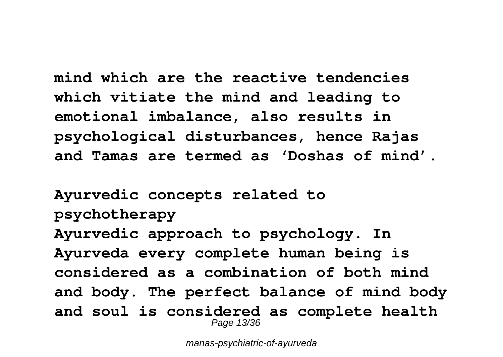**mind which are the reactive tendencies which vitiate the mind and leading to emotional imbalance, also results in psychological disturbances, hence Rajas and Tamas are termed as 'Doshas of mind'.**

**Ayurvedic concepts related to psychotherapy Ayurvedic approach to psychology. In Ayurveda every complete human being is considered as a combination of both mind and body. The perfect balance of mind body and soul is considered as complete health** Page 13/36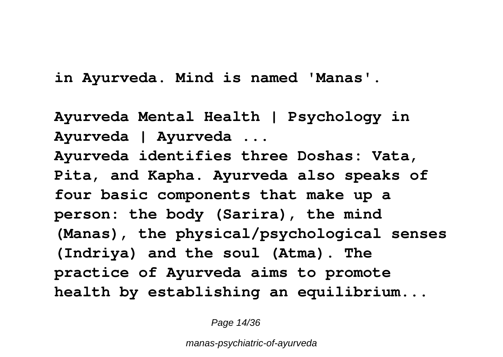**in Ayurveda. Mind is named 'Manas'.**

**Ayurveda Mental Health | Psychology in Ayurveda | Ayurveda ... Ayurveda identifies three Doshas: Vata, Pita, and Kapha. Ayurveda also speaks of four basic components that make up a person: the body (Sarira), the mind (Manas), the physical/psychological senses (Indriya) and the soul (Atma). The practice of Ayurveda aims to promote health by establishing an equilibrium...**

Page 14/36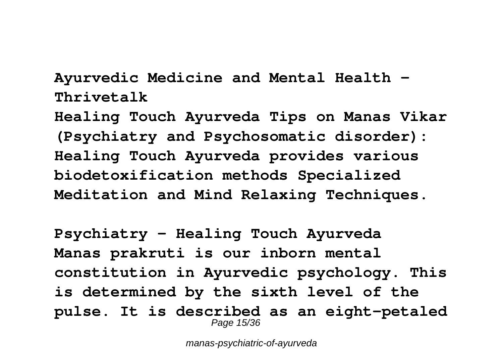**Ayurvedic Medicine and Mental Health - Thrivetalk**

**Healing Touch Ayurveda Tips on Manas Vikar (Psychiatry and Psychosomatic disorder): Healing Touch Ayurveda provides various biodetoxification methods Specialized Meditation and Mind Relaxing Techniques.**

**Psychiatry - Healing Touch Ayurveda Manas prakruti is our inborn mental constitution in Ayurvedic psychology. This is determined by the sixth level of the pulse. It is described as an eight-petaled** Page 15/36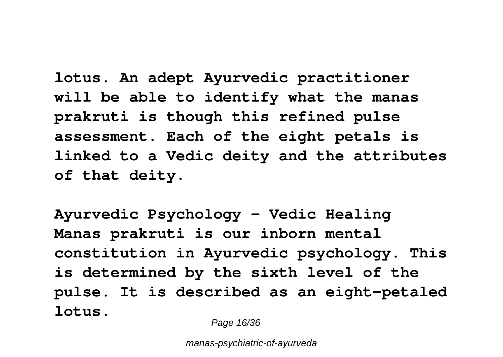**lotus. An adept Ayurvedic practitioner will be able to identify what the manas prakruti is though this refined pulse assessment. Each of the eight petals is linked to a Vedic deity and the attributes of that deity.**

**Ayurvedic Psychology - Vedic Healing Manas prakruti is our inborn mental constitution in Ayurvedic psychology. This is determined by the sixth level of the pulse. It is described as an eight-petaled lotus.**

Page 16/36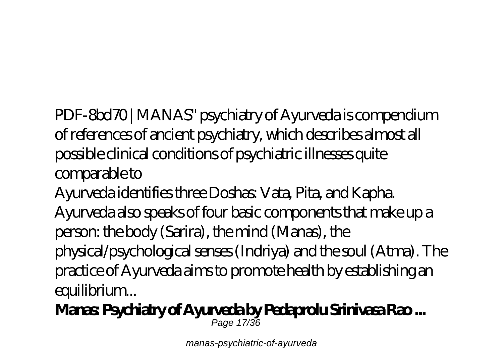PDF-8bd70 | MANAS" psychiatry of Ayurveda is compendium of references of ancient psychiatry, which describes almost all possible clinical conditions of psychiatric illnesses quite comparable to

Ayurveda identifies three Doshas: Vata, Pita, and Kapha. Ayurveda also speaks of four basic components that make up a person: the body (Sarira), the mind (Manas), the physical/psychological senses (Indriya) and the soul (Atma). The practice of Ayurveda aims to promote health by establishing an equilibrium...

**Manas: Psychiatry of Ayurveda by Pedaprolu Srinivasa Rao ...** Page 17/36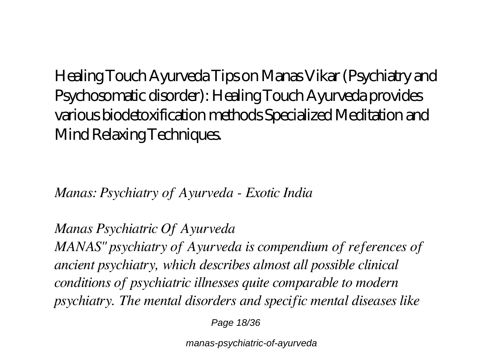Healing Touch Ayurveda Tips on Manas Vikar (Psychiatry and Psychosomatic disorder): Healing Touch Ayurveda provides various biodetoxification methods Specialized Meditation and Mind Relaxing Techniques.

*Manas: Psychiatry of Ayurveda - Exotic India*

*Manas Psychiatric Of Ayurveda MANAS" psychiatry of Ayurveda is compendium of references of ancient psychiatry, which describes almost all possible clinical conditions of psychiatric illnesses quite comparable to modern psychiatry. The mental disorders and specific mental diseases like*

Page 18/36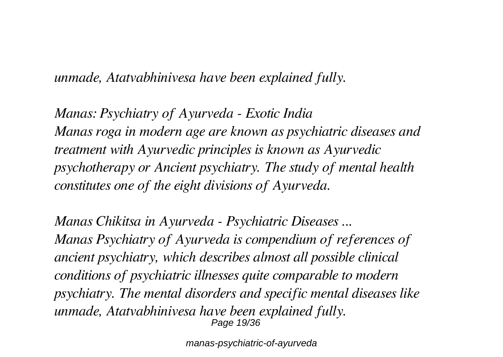*unmade, Atatvabhinivesa have been explained fully.*

*Manas: Psychiatry of Ayurveda - Exotic India Manas roga in modern age are known as psychiatric diseases and treatment with Ayurvedic principles is known as Ayurvedic psychotherapy or Ancient psychiatry. The study of mental health constitutes one of the eight divisions of Ayurveda.*

*Manas Chikitsa in Ayurveda - Psychiatric Diseases ... Manas Psychiatry of Ayurveda is compendium of references of ancient psychiatry, which describes almost all possible clinical conditions of psychiatric illnesses quite comparable to modern psychiatry. The mental disorders and specific mental diseases like unmade, Atatvabhinivesa have been explained fully.* Page 19/36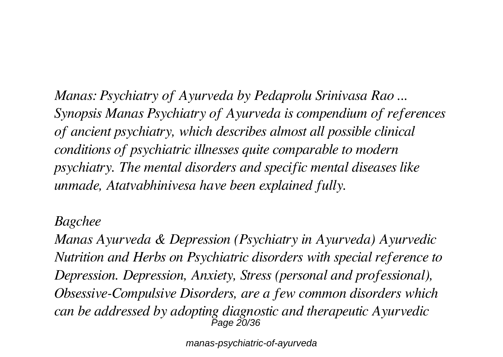*Manas: Psychiatry of Ayurveda by Pedaprolu Srinivasa Rao ... Synopsis Manas Psychiatry of Ayurveda is compendium of references of ancient psychiatry, which describes almost all possible clinical conditions of psychiatric illnesses quite comparable to modern psychiatry. The mental disorders and specific mental diseases like unmade, Atatvabhinivesa have been explained fully.*

#### *Bagchee*

*Manas Ayurveda & Depression (Psychiatry in Ayurveda) Ayurvedic Nutrition and Herbs on Psychiatric disorders with special reference to Depression. Depression, Anxiety, Stress (personal and professional), Obsessive-Compulsive Disorders, are a few common disorders which can be addressed by adopting diagnostic and therapeutic Ayurvedic* Page 20/36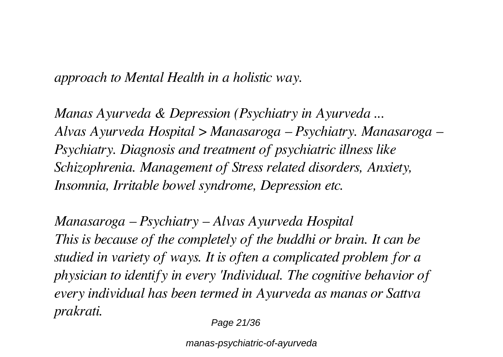*approach to Mental Health in a holistic way.*

*Manas Ayurveda & Depression (Psychiatry in Ayurveda ... Alvas Ayurveda Hospital > Manasaroga – Psychiatry. Manasaroga – Psychiatry. Diagnosis and treatment of psychiatric illness like Schizophrenia. Management of Stress related disorders, Anxiety, Insomnia, Irritable bowel syndrome, Depression etc.*

*Manasaroga – Psychiatry – Alvas Ayurveda Hospital This is because of the completely of the buddhi or brain. It can be studied in variety of ways. It is often a complicated problem for a physician to identify in every 'Individual. The cognitive behavior of every individual has been termed in Ayurveda as manas or Sattva prakrati.*

Page 21/36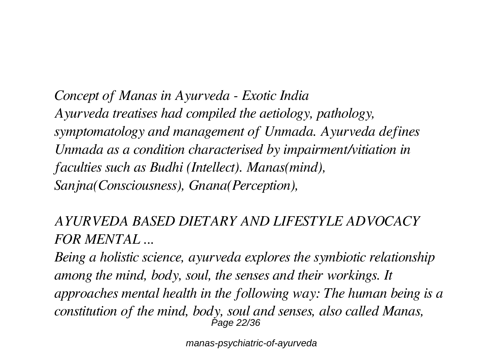*Concept of Manas in Ayurveda - Exotic India Ayurveda treatises had compiled the aetiology, pathology, symptomatology and management of Unmada. Ayurveda defines Unmada as a condition characterised by impairment/vitiation in faculties such as Budhi (Intellect). Manas(mind), Sanjna(Consciousness), Gnana(Perception),*

*AYURVEDA BASED DIETARY AND LIFESTYLE ADVOCACY FOR MENTAL ...*

*Being a holistic science, ayurveda explores the symbiotic relationship among the mind, body, soul, the senses and their workings. It approaches mental health in the following way: The human being is a constitution of the mind, body, soul and senses, also called Manas,* Page 22/36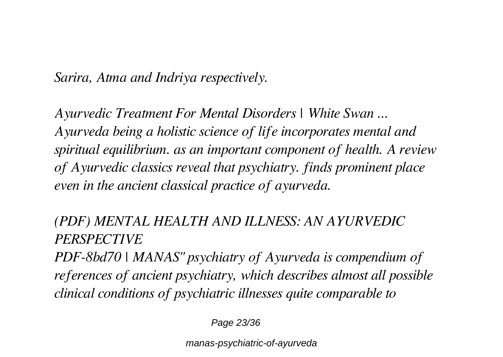*Sarira, Atma and Indriya respectively.*

*Ayurvedic Treatment For Mental Disorders | White Swan ... Ayurveda being a holistic science of life incorporates mental and spiritual equilibrium. as an important component of health. A review of Ayurvedic classics reveal that psychiatry. finds prominent place even in the ancient classical practice of ayurveda.*

### *(PDF) MENTAL HEALTH AND ILLNESS: AN AYURVEDIC PERSPECTIVE*

*PDF-8bd70 | MANAS" psychiatry of Ayurveda is compendium of references of ancient psychiatry, which describes almost all possible clinical conditions of psychiatric illnesses quite comparable to*

Page 23/36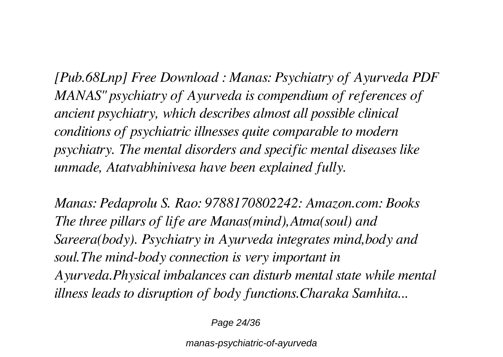*[Pub.68Lnp] Free Download : Manas: Psychiatry of Ayurveda PDF MANAS" psychiatry of Ayurveda is compendium of references of ancient psychiatry, which describes almost all possible clinical conditions of psychiatric illnesses quite comparable to modern psychiatry. The mental disorders and specific mental diseases like unmade, Atatvabhinivesa have been explained fully.*

*Manas: Pedaprolu S. Rao: 9788170802242: Amazon.com: Books The three pillars of life are Manas(mind),Atma(soul) and Sareera(body). Psychiatry in Ayurveda integrates mind,body and soul.The mind-body connection is very important in Ayurveda.Physical imbalances can disturb mental state while mental illness leads to disruption of body functions.Charaka Samhita...*

Page 24/36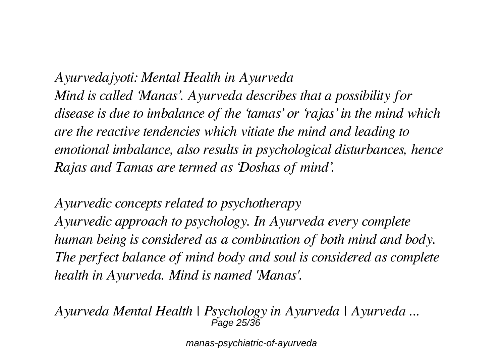*Ayurvedajyoti: Mental Health in Ayurveda Mind is called 'Manas'. Ayurveda describes that a possibility for disease is due to imbalance of the 'tamas' or 'rajas' in the mind which are the reactive tendencies which vitiate the mind and leading to emotional imbalance, also results in psychological disturbances, hence Rajas and Tamas are termed as 'Doshas of mind'.*

*Ayurvedic concepts related to psychotherapy Ayurvedic approach to psychology. In Ayurveda every complete human being is considered as a combination of both mind and body. The perfect balance of mind body and soul is considered as complete health in Ayurveda. Mind is named 'Manas'.*

*Ayurveda Mental Health | Psychology in Ayurveda | Ayurveda ...* Page 25/36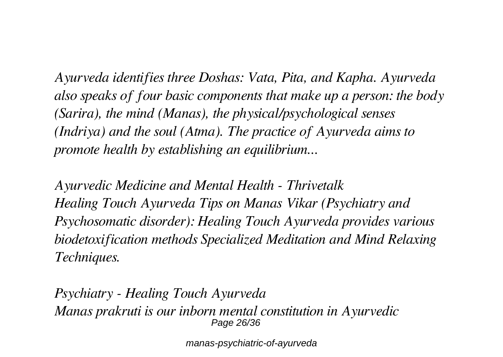*Ayurveda identifies three Doshas: Vata, Pita, and Kapha. Ayurveda also speaks of four basic components that make up a person: the body (Sarira), the mind (Manas), the physical/psychological senses (Indriya) and the soul (Atma). The practice of Ayurveda aims to promote health by establishing an equilibrium...*

*Ayurvedic Medicine and Mental Health - Thrivetalk Healing Touch Ayurveda Tips on Manas Vikar (Psychiatry and Psychosomatic disorder): Healing Touch Ayurveda provides various biodetoxification methods Specialized Meditation and Mind Relaxing Techniques.*

*Psychiatry - Healing Touch Ayurveda Manas prakruti is our inborn mental constitution in Ayurvedic* Page 26/36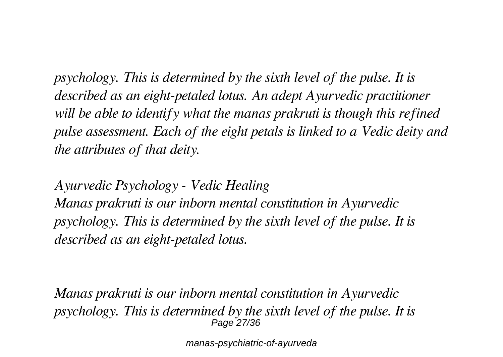*psychology. This is determined by the sixth level of the pulse. It is described as an eight-petaled lotus. An adept Ayurvedic practitioner will be able to identify what the manas prakruti is though this refined pulse assessment. Each of the eight petals is linked to a Vedic deity and the attributes of that deity.*

*Ayurvedic Psychology - Vedic Healing Manas prakruti is our inborn mental constitution in Ayurvedic psychology. This is determined by the sixth level of the pulse. It is described as an eight-petaled lotus.*

*Manas prakruti is our inborn mental constitution in Ayurvedic psychology. This is determined by the sixth level of the pulse. It is* Page 27/36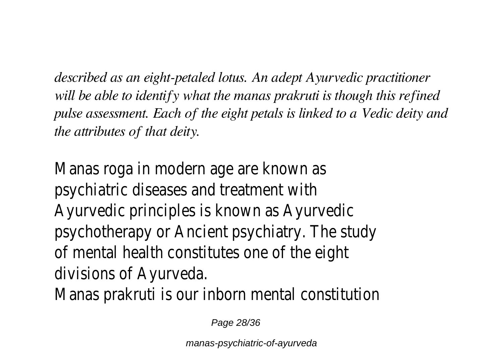*described as an eight-petaled lotus. An adept Ayurvedic practitioner will be able to identify what the manas prakruti is though this refined pulse assessment. Each of the eight petals is linked to a Vedic deity and the attributes of that deity.*

Manas roga in modern age are known as psychiatric diseases and treatment with Ayurvedic principles is known as Ayurvedic psychotherapy or Ancient psychiatry. The study of mental health constitutes one of the eight divisions of Ayurveda.

Manas prakruti is our inborn mental constitutic

Page 28/36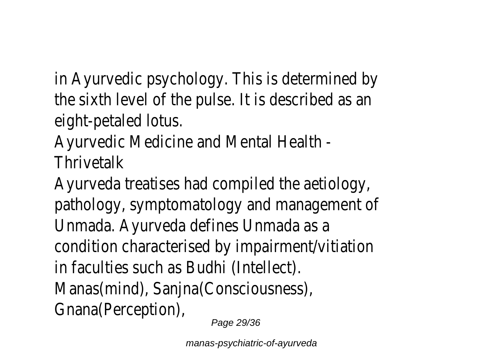in Ayurvedic psychology. This is determined by the sixth level of the pulse. It is described as a eight-petaled lotus.

Ayurvedic Medicine and Mental Health - **Thrivetalk** 

Ayurveda treatises had compiled the aetiology, pathology, symptomatology and management of Unmada. Ayurveda defines Unmada as a condition characterised by impairment/vitiation in faculties such as Budhi (Intellect). Manas(mind), Sanjna(Consciousness), Gnana(Perception), Page 29/36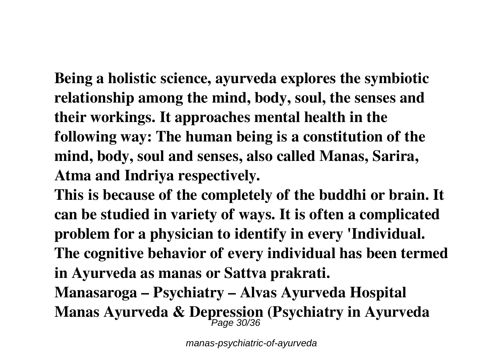**Being a holistic science, ayurveda explores the symbiotic relationship among the mind, body, soul, the senses and their workings. It approaches mental health in the following way: The human being is a constitution of the mind, body, soul and senses, also called Manas, Sarira, Atma and Indriya respectively.**

**This is because of the completely of the buddhi or brain. It can be studied in variety of ways. It is often a complicated problem for a physician to identify in every 'Individual. The cognitive behavior of every individual has been termed in Ayurveda as manas or Sattva prakrati.**

**Manasaroga – Psychiatry – Alvas Ayurveda Hospital Manas Ayurveda & Depression (Psychiatry in Ayurveda** Page 30/36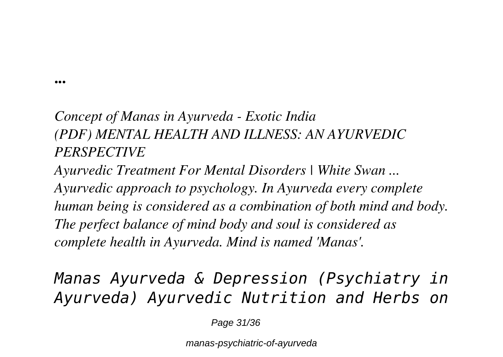**...**

## *Concept of Manas in Ayurveda - Exotic India (PDF) MENTAL HEALTH AND ILLNESS: AN AYURVEDIC PERSPECTIVE*

*Ayurvedic Treatment For Mental Disorders | White Swan ... Ayurvedic approach to psychology. In Ayurveda every complete human being is considered as a combination of both mind and body. The perfect balance of mind body and soul is considered as complete health in Ayurveda. Mind is named 'Manas'.*

*Manas Ayurveda & Depression (Psychiatry in Ayurveda) Ayurvedic Nutrition and Herbs on*

Page 31/36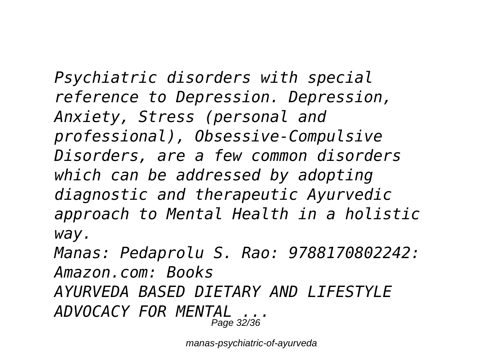*Psychiatric disorders with special reference to Depression. Depression, Anxiety, Stress (personal and professional), Obsessive-Compulsive Disorders, are a few common disorders which can be addressed by adopting diagnostic and therapeutic Ayurvedic approach to Mental Health in a holistic way.*

*Manas: Pedaprolu S. Rao: 9788170802242: Amazon.com: Books AYURVEDA BASED DIETARY AND LIFESTYLE ADVOCACY FOR MENTAL ...* Page 32/36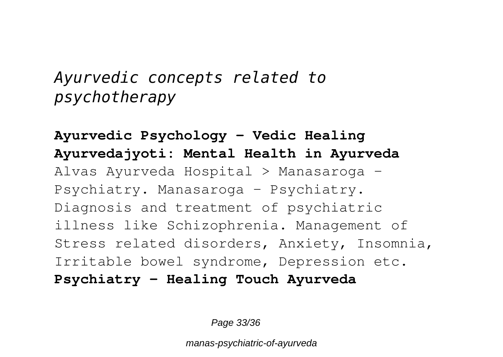# *Ayurvedic concepts related to psychotherapy*

**Ayurvedic Psychology - Vedic Healing Ayurvedajyoti: Mental Health in Ayurveda** Alvas Ayurveda Hospital > Manasaroga – Psychiatry. Manasaroga – Psychiatry. Diagnosis and treatment of psychiatric illness like Schizophrenia. Management of Stress related disorders, Anxiety, Insomnia, Irritable bowel syndrome, Depression etc. **Psychiatry - Healing Touch Ayurveda**

Page 33/36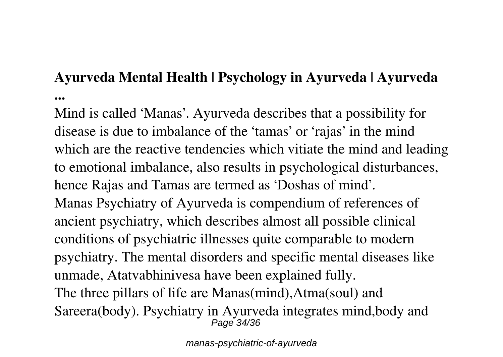### **Ayurveda Mental Health | Psychology in Ayurveda | Ayurveda ...**

Mind is called 'Manas'. Ayurveda describes that a possibility for disease is due to imbalance of the 'tamas' or 'rajas' in the mind which are the reactive tendencies which vitiate the mind and leading to emotional imbalance, also results in psychological disturbances, hence Rajas and Tamas are termed as 'Doshas of mind'. Manas Psychiatry of Ayurveda is compendium of references of ancient psychiatry, which describes almost all possible clinical conditions of psychiatric illnesses quite comparable to modern psychiatry. The mental disorders and specific mental diseases like unmade, Atatvabhinivesa have been explained fully. The three pillars of life are Manas(mind),Atma(soul) and Sareera(body). Psychiatry in Ayurveda integrates mind,body and Page 34/36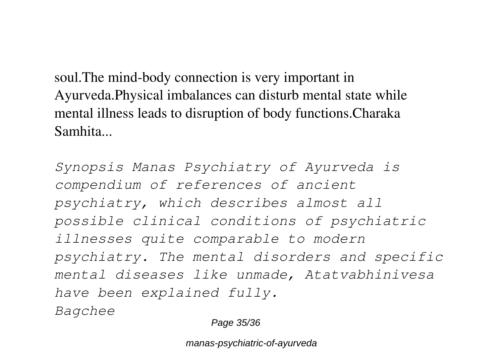soul.The mind-body connection is very important in Ayurveda.Physical imbalances can disturb mental state while mental illness leads to disruption of body functions.Charaka Samhita...

*Synopsis Manas Psychiatry of Ayurveda is compendium of references of ancient psychiatry, which describes almost all possible clinical conditions of psychiatric illnesses quite comparable to modern psychiatry. The mental disorders and specific mental diseases like unmade, Atatvabhinivesa have been explained fully. Bagchee*

Page 35/36